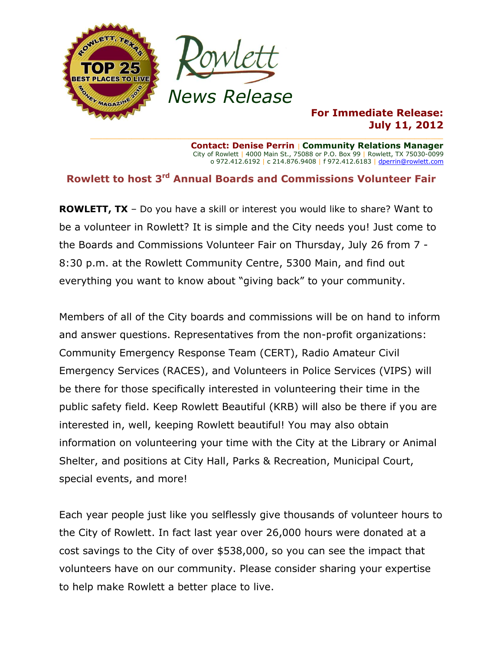

### **For Immediate Release: July 11, 2012**

**Contact: Denise Perrin** | **Community Relations Manager** City of Rowlett | 4000 Main St., 75088 or P.O. Box 99 | Rowlett, TX 75030-0099 o 972.412.6192 | c 214.876.9408 | f 972.412.6183 [| dperrin@rowlett.com](mailto:dperrin@rowlett.com)

# **Rowlett to host 3 rd Annual Boards and Commissions Volunteer Fair**

**ROWLETT, TX** – Do you have a skill or interest you would like to share? Want to be a volunteer in Rowlett? It is simple and the City needs you! Just come to the Boards and Commissions Volunteer Fair on Thursday, July 26 from 7 - 8:30 p.m. at the Rowlett Community Centre, 5300 Main, and find out everything you want to know about "giving back" to your community.

Members of all of the City boards and commissions will be on hand to inform and answer questions. Representatives from the non-profit organizations: Community Emergency Response Team (CERT), Radio Amateur Civil Emergency Services (RACES), and Volunteers in Police Services (VIPS) will be there for those specifically interested in volunteering their time in the public safety field. Keep Rowlett Beautiful (KRB) will also be there if you are interested in, well, keeping Rowlett beautiful! You may also obtain information on volunteering your time with the City at the Library or Animal Shelter, and positions at City Hall, Parks & Recreation, Municipal Court, special events, and more!

Each year people just like you selflessly give thousands of volunteer hours to the City of Rowlett. In fact last year over 26,000 hours were donated at a cost savings to the City of over \$538,000, so you can see the impact that volunteers have on our community. Please consider sharing your expertise to help make Rowlett a better place to live.